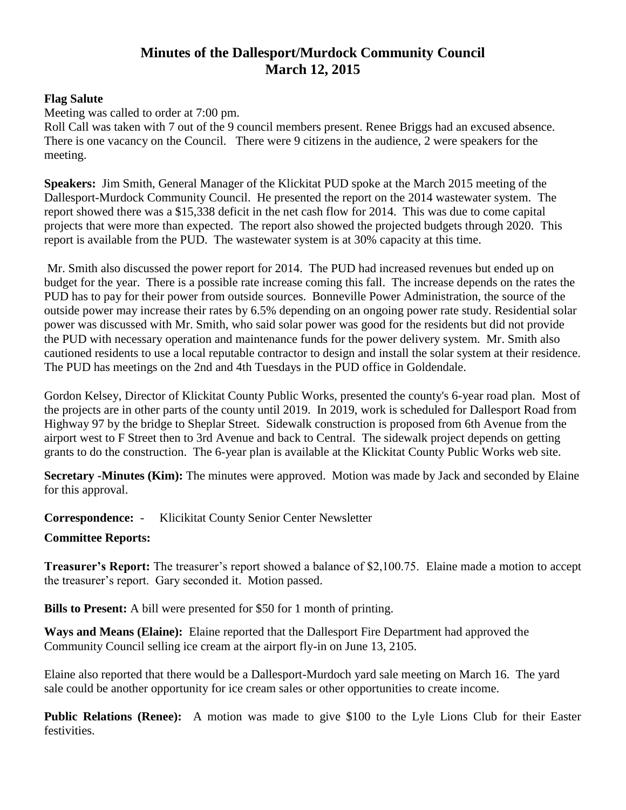# **Minutes of the Dallesport/Murdock Community Council March 12, 2015**

## **Flag Salute**

Meeting was called to order at 7:00 pm.

Roll Call was taken with 7 out of the 9 council members present. Renee Briggs had an excused absence. There is one vacancy on the Council. There were 9 citizens in the audience, 2 were speakers for the meeting.

**Speakers:** Jim Smith, General Manager of the Klickitat PUD spoke at the March 2015 meeting of the Dallesport-Murdock Community Council. He presented the report on the 2014 wastewater system. The report showed there was a \$15,338 deficit in the net cash flow for 2014. This was due to come capital projects that were more than expected. The report also showed the projected budgets through 2020. This report is available from the PUD. The wastewater system is at 30% capacity at this time.

Mr. Smith also discussed the power report for 2014. The PUD had increased revenues but ended up on budget for the year. There is a possible rate increase coming this fall. The increase depends on the rates the PUD has to pay for their power from outside sources. Bonneville Power Administration, the source of the outside power may increase their rates by 6.5% depending on an ongoing power rate study. Residential solar power was discussed with Mr. Smith, who said solar power was good for the residents but did not provide the PUD with necessary operation and maintenance funds for the power delivery system. Mr. Smith also cautioned residents to use a local reputable contractor to design and install the solar system at their residence. The PUD has meetings on the 2nd and 4th Tuesdays in the PUD office in Goldendale.

Gordon Kelsey, Director of Klickitat County Public Works, presented the county's 6-year road plan. Most of the projects are in other parts of the county until 2019. In 2019, work is scheduled for Dallesport Road from Highway 97 by the bridge to Sheplar Street. Sidewalk construction is proposed from 6th Avenue from the airport west to F Street then to 3rd Avenue and back to Central. The sidewalk project depends on getting grants to do the construction. The 6-year plan is available at the Klickitat County Public Works web site.

**Secretary -Minutes (Kim):** The minutes were approved. Motion was made by Jack and seconded by Elaine for this approval.

**Correspondence:** - Klicikitat County Senior Center Newsletter

### **Committee Reports:**

**Treasurer's Report:** The treasurer's report showed a balance of \$2,100.75. Elaine made a motion to accept the treasurer's report. Gary seconded it. Motion passed.

**Bills to Present:** A bill were presented for \$50 for 1 month of printing.

**Ways and Means (Elaine):** Elaine reported that the Dallesport Fire Department had approved the Community Council selling ice cream at the airport fly-in on June 13, 2105.

Elaine also reported that there would be a Dallesport-Murdoch yard sale meeting on March 16. The yard sale could be another opportunity for ice cream sales or other opportunities to create income.

**Public Relations (Renee):** A motion was made to give \$100 to the Lyle Lions Club for their Easter festivities.